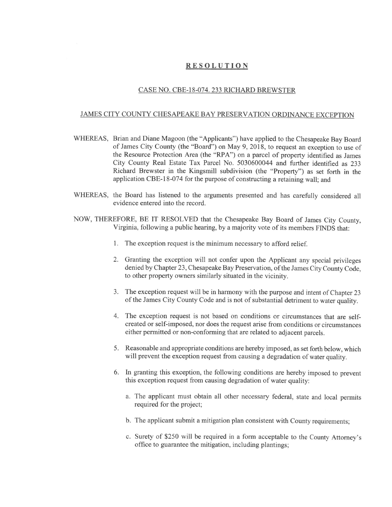## **RESOLUTION**

## CASE NO. CBE-18-074. 233 RICHARD BREWSTER

## JAMES CITY COUNTY CHESAPEAKE BAY PRESERVATION ORDINANCE EXCEPTION

- WHEREAS, Brian and Diane Magoon (the "Applicants") have applied to the Chesapeake Bay Board of James City County (the "Board") on May 9, 2018, to request an exception to use of the Resource Protection Area (the "RPA") on a parcel of property identified as James City County Real Estate Tax Parcel No. 5030600044 and further identified as 233 Richard Brewster in the Kingsmill subdivision (the "Property") as set forth in the application CBE-18-074 for the purpose of constructing a retaining wall; and
- WHEREAS, the Board has listened to the arguments presented and has carefully considered all evidence entered into the record.
- NOW, THEREFORE, BE IT RESOLVED that the Chesapeake Bay Board of James City County, Virginia, following a public hearing, by a majority vote of its members FINDS that:
	- 1. The exception request is the minimum necessary to afford relief.
	- 2. Granting the exception will not confer upon the Applicant any special privileges denied by Chapter 23, Chesapeake Bay Preservation, of the James City County Code, to other property owners similarly situated in the vicinity.
	- 3. The exception request will be in harmony with the purpose and intent of Chapter 23 of the James City County Code and is not of substantial detriment to water quality.
	- 4. The exception request is not based on conditions or circumstances that are selfcreated or self-imposed, nor does the request arise from conditions or circumstances either permitted or non-conforming that are related to adjacent parcels.
	- 5. Reasonable and appropriate conditions are hereby imposed, as set forth below, which will prevent the exception request from causing a degradation of water quality.
	- 6. In granting this exception, the following conditions are hereby imposed to prevent this exception request from causing degradation of water quality:
		- a. The applicant must obtain all other necessary federal, state and local permits required for the project;
		- b. The applicant submit a mitigation plan consistent with County requirements;
		- c. Surety of \$250 will be required in a form acceptable to the County Attorney's office to guarantee the mitigation, including plantings;